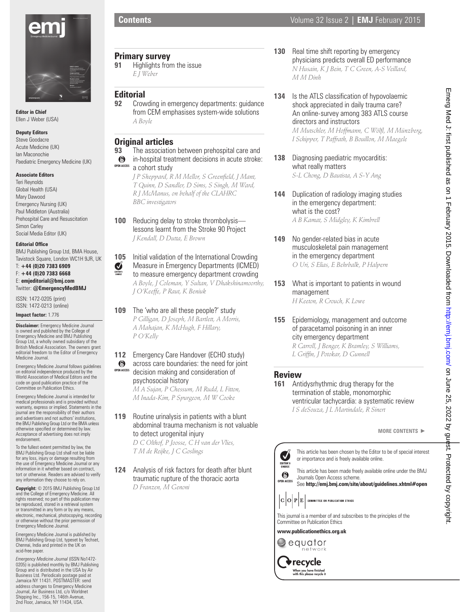

**Editor in Chief** Ellen J Weber (USA)

### **Deputy Editors**

Steve Goodacre Acute Medicine (UK) Ian Maconochie Paediatric Emergency Medicine (UK)

### **Associate Editors**

Teri Reynolds Global Health (USA) Mary Dawood Emergency Nursing (UK) Paul Middleton (Australia) Prehospital Care and Resuscitation Simon Carley Social Media Editor (UK)

### **Editorial Office**

BMJ Publishing Group Ltd, BMA House, Tavistock Square, London WC1H 9JR, UK T: **+44 (0)20 7383 6909**  F: **+44 (0)20 7383 6668**

### E: **emjeditorial@bmj.com** Twitter: **@EmergencyMedBMJ**

ISSN: 1472-0205 (print) ISSN: 1472-0213 (online)

### **Impact factor:** 1.776

**Disclaimer:** Emergency Medicine Journal is owned and published by the College of Emergency Medicine and BMJ Publishing Group Ltd, a wholly owned subsidiary of the British Medical Association. The owners grant editorial freedom to the Editor of Emergency Medicine Journal.

Emergency Medicine Journal follows guidelines on editorial independence produced by the World Association of Medical Editors and the code on good publication practice of the Committee on Publication Ethics.

Emergency Medicine Journal is intended for medical professionals and is provided without warranty, express or implied. Statements in the journal are the responsibility of their authors and advertisers and not authors' institutions, the BMJ Publishing Group Ltd or the BMA unless otherwise specified or determined by law. Acceptance of advertising does not imply endorsement.

To the fullest extent permitted by law, the BMJ Publishing Group Ltd shall not be liable for any loss, injury or damage resulting from the use of Emergency Medicine Journal or any information in it whether based on contract, tort or otherwise. Readers are advised to verify any information they choose to rely on.

**Copyright:** © 2015 BMJ Publishing Group Ltd and the College of Emergency Medicine. All rights reserved; no part of this publication may be reproduced, stored in a retrieval system or transmitted in any form or by any means electronic, mechanical, photocopying, recording or otherwise without the prior permission of Emergency Medicine Journal.

Emergency Medicine Journal is published by BMJ Publishing Group Ltd, typeset by Techset, Chennai, India and printed in the UK on acid-free paper.

*Emergency Medicine Journal* (ISSN No1472- 0205) is published monthly by BMJ Publishing Group and is distributed in the USA by Air Business Ltd. Periodicals postage paid at Jamaica NY 11431. POSTMASTER: send address changes to Emergency Medicine Journal, Air Business Ltd, c/o Worldnet Shipping Inc., 156-15, 146th Avenue, 2nd Floor, Jamaica, NY 11434, USA.

# **Primary survey**<br>91 Highlights from

**91** Highlights from the issue *E J Weber*

# **Editorial**

**92** Crowding in emergency departments: guidance from CEM emphasises system-wide solutions *A Boyle*

# **Original articles**

**93** The association between prehospital care and  $\odot$ in-hospital treatment decisions in acute stroke: **OPEN ACCESS** a cohort study

*J P Sheppard, R M Mellor, S Greenfi eld, J Mant, T Quinn, D Sandler, D Sims, S Singh, M Ward, R J McManus, on behalf of the CLAHRC BBC investigators*

100 Reducing delay to stroke thrombolysislessons learnt from the Stroke 90 Project *J Kendall, D Dutta, E Brown*

**105** Initial validation of the International Crowding EDITOR'S Measure in Emergency Departments (ICMED) to measure emergency department crowding *A Boyle, J Coleman, Y Sultan, V Dhakshinamoorthy,* 

*J O'Keeffe, P Raut, K Beniuk*

- **109** The 'who are all these people?' study *P Gilligan, D Joseph, M Bartlett, A Morris, A Mahajan, K McHugh, F Hillary, P O'Kelly*
- **112** Emergency Care Handover (ECHO study)
- across care boundaries: the need for joint  $\odot$ decision making and consideration of **OPEN ACCESS** psychosocial history *M A Sujan, P Chessum, M Rudd, L Fitton,*

*M Inada-Kim, P Spurgeon, M W Cooke*

**119** Routine urinalysis in patients with a blunt abdominal trauma mechanism is not valuable to detect urogenital injury

*D C Olthof, P Joosse, C H van der Vlies, T M de Reijke, J C Goslings*

**124** Analysis of risk factors for death after blunt traumatic rupture of the thoracic aorta

*D Franzen, M Genoni*

- 130 Real time shift reporting by emergency physicians predicts overall ED performance *N Husain, K J Bein, T C Green, A-S Veillard, M M Dinh*
- **134** Is the ATLS classification of hypovolaemic shock appreciated in daily trauma care? An online-survey among 383 ATLS course directors and instructors *M Mutschler, M Hoffmann, C Wölfl , M Münzberg, I Schipper, T Paffrath, B Bouillon, M Maegele*
- **138** Diagnosing paediatric myocarditis: what really matters *S-L Chong, D Bautista, A S-Y Ang*
- **144** Duplication of radiology imaging studies in the emergency department: what is the cost? *A B Kamat, S Midgley, K Kimbrell*
- **149** No gender-related bias in acute musculoskeletal pain management in the emergency department *O Uri, S Elias, E Behrbalk, P Halpern*
- **153** What is important to patients in wound management *H Keeton, R Crouch, K Lowe*
- **155** Epidemiology, management and outcome of paracetamol poisoning in an inner city emergency department *R Carroll, J Benger, K Bramley, S Williams, L Griffi n, J Potokar, D Gunnell*

## **Review**

**161** Antidysrhythmic drug therapy for the termination of stable, monomorphic ventricular tachycardia: a systematic review *I S deSouza, J L Martindale, R Sinert*

**MORE CONTENTS** -